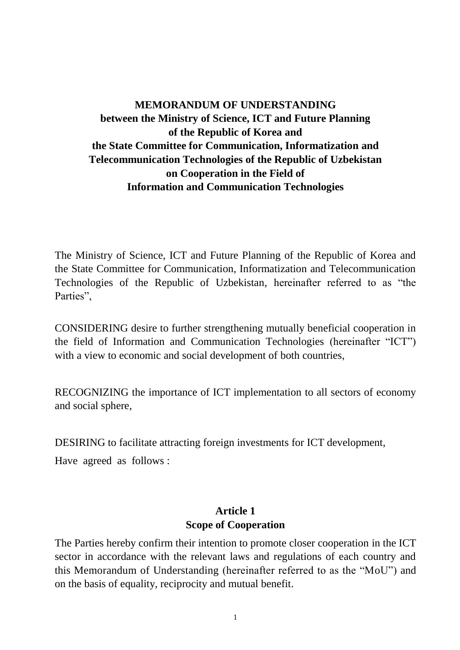# **MEMORANDUM OF UNDERSTANDING between the Ministry of Science, ICT and Future Planning of the Republic of Korea and the State Committee for Communication, Informatization and Telecommunication Technologies of the Republic of Uzbekistan on Cooperation in the Field of Information and Communication Technologies**

The Ministry of Science, ICT and Future Planning of the Republic of Korea and the State Committee for Communication, Informatization and Telecommunication Technologies of the Republic of Uzbekistan, hereinafter referred to as "the Parties".

CONSIDERING desire to further strengthening mutually beneficial cooperation in the field of Information and Communication Technologies (hereinafter "ICT") with a view to economic and social development of both countries,

RECOGNIZING the importance of ICT implementation to all sectors of economy and social sphere,

DESIRING to facilitate attracting foreign investments for ICT development,

Have agreed as follows :

### **Article 1 Scope of Cooperation**

The Parties hereby confirm their intention to promote closer cooperation in the ICT sector in accordance with the relevant laws and regulations of each country and this Memorandum of Understanding (hereinafter referred to as the "MoU") and on the basis of equality, reciprocity and mutual benefit.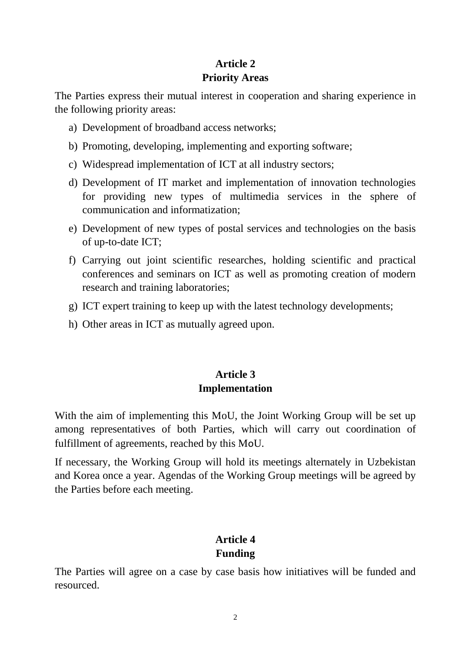# **Article 2 Priority Areas**

The Parties express their mutual interest in cooperation and sharing experience in the following priority areas:

- a) Development of broadband access networks;
- b) Promoting, developing, implementing and exporting software;
- c) Widespread implementation of ICT at all industry sectors;
- d) Development of IT market and implementation of innovation technologies for providing new types of multimedia services in the sphere of communication and informatization;
- e) Development of new types of postal services and technologies on the basis of up-to-date ICT;
- f) Carrying out joint scientific researches, holding scientific and practical conferences and seminars on ICT as well as promoting creation of modern research and training laboratories;
- g) ICT expert training to keep up with the latest technology developments;
- h) Other areas in ICT as mutually agreed upon.

## **Article 3 Implementation**

With the aim of implementing this MoU, the Joint Working Group will be set up among representatives of both Parties, which will carry out coordination of fulfillment of agreements, reached by this MoU.

If necessary, the Working Group will hold its meetings alternately in Uzbekistan and Korea once a year. Agendas of the Working Group meetings will be agreed by the Parties before each meeting.

### **Article 4 Funding**

The Parties will agree on a case by case basis how initiatives will be funded and resourced.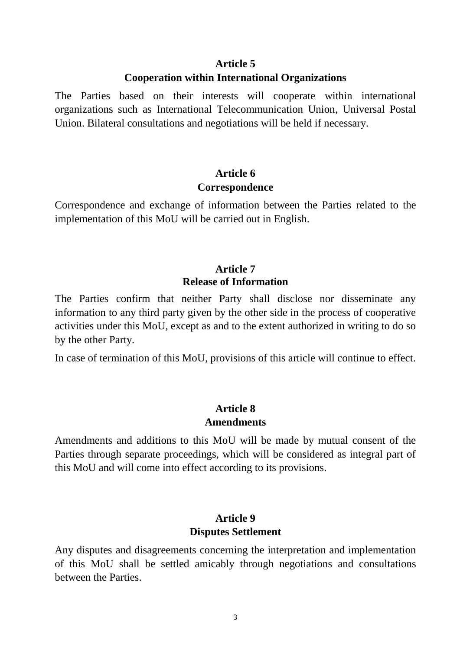#### **Article 5 Cooperation within International Organizations**

The Parties based on their interests will cooperate within international organizations such as International Telecommunication Union, Universal Postal Union. Bilateral consultations and negotiations will be held if necessary.

## **Article 6 Correspondence**

Correspondence and exchange of information between the Parties related to the implementation of this MoU will be carried out in English.

### **Article 7 Release of Information**

The Parties confirm that neither Party shall disclose nor disseminate any information to any third party given by the other side in the process of cooperative activities under this MoU, except as and to the extent authorized in writing to do so by the other Party.

In case of termination of this MoU, provisions of this article will continue to effect.

## **Article 8 Amendments**

Amendments and additions to this MoU will be made by mutual consent of the Parties through separate proceedings, which will be considered as integral part of this MoU and will come into effect according to its provisions.

### **Article 9 Disputes Settlement**

Any disputes and disagreements concerning the interpretation and implementation of this MoU shall be settled amicably through negotiations and consultations between the Parties.